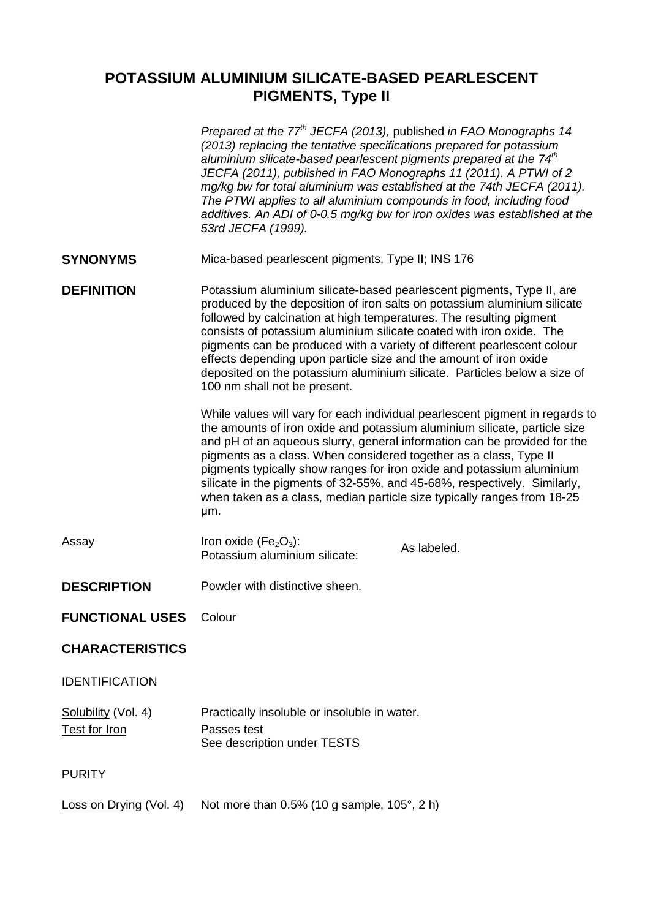## **POTASSIUM ALUMINIUM SILICATE-BASED PEARLESCENT PIGMENTS, Type II**

|                        | Prepared at the 77 <sup>th</sup> JECFA (2013), published in FAO Monographs 14<br>(2013) replacing the tentative specifications prepared for potassium<br>aluminium silicate-based pearlescent pigments prepared at the 74 <sup>th</sup><br>JECFA (2011), published in FAO Monographs 11 (2011). A PTWI of 2<br>mg/kg bw for total aluminium was established at the 74th JECFA (2011).<br>The PTWI applies to all aluminium compounds in food, including food<br>additives. An ADI of 0-0.5 mg/kg bw for iron oxides was established at the<br>53rd JECFA (1999). |  |  |
|------------------------|------------------------------------------------------------------------------------------------------------------------------------------------------------------------------------------------------------------------------------------------------------------------------------------------------------------------------------------------------------------------------------------------------------------------------------------------------------------------------------------------------------------------------------------------------------------|--|--|
| <b>SYNONYMS</b>        | Mica-based pearlescent pigments, Type II; INS 176                                                                                                                                                                                                                                                                                                                                                                                                                                                                                                                |  |  |
| <b>DEFINITION</b>      | Potassium aluminium silicate-based pearlescent pigments, Type II, are<br>produced by the deposition of iron salts on potassium aluminium silicate<br>followed by calcination at high temperatures. The resulting pigment<br>consists of potassium aluminium silicate coated with iron oxide. The<br>pigments can be produced with a variety of different pearlescent colour<br>effects depending upon particle size and the amount of iron oxide<br>deposited on the potassium aluminium silicate. Particles below a size of<br>100 nm shall not be present.     |  |  |
|                        | While values will vary for each individual pearlescent pigment in regards to<br>the amounts of iron oxide and potassium aluminium silicate, particle size<br>and pH of an aqueous slurry, general information can be provided for the<br>pigments as a class. When considered together as a class, Type II<br>pigments typically show ranges for iron oxide and potassium aluminium<br>silicate in the pigments of 32-55%, and 45-68%, respectively. Similarly,<br>when taken as a class, median particle size typically ranges from 18-25<br>µm.                |  |  |
| Assay                  | Iron oxide ( $Fe2O3$ ):<br>As labeled.<br>Potassium aluminium silicate:                                                                                                                                                                                                                                                                                                                                                                                                                                                                                          |  |  |
| <b>DESCRIPTION</b>     | Powder with distinctive sheen.                                                                                                                                                                                                                                                                                                                                                                                                                                                                                                                                   |  |  |
| <b>FUNCTIONAL USES</b> | Colour                                                                                                                                                                                                                                                                                                                                                                                                                                                                                                                                                           |  |  |
| <b>CHARACTERISTICS</b> |                                                                                                                                                                                                                                                                                                                                                                                                                                                                                                                                                                  |  |  |

## IDENTIFICATION

| Solubility (Vol. 4) | Practically insoluble or insoluble in water. |
|---------------------|----------------------------------------------|
| Test for Iron       | Passes test                                  |
|                     | See description under TESTS                  |

PURITY

Loss on Drying (Vol. 4) Not more than 0.5% (10 g sample, 105°, 2 h)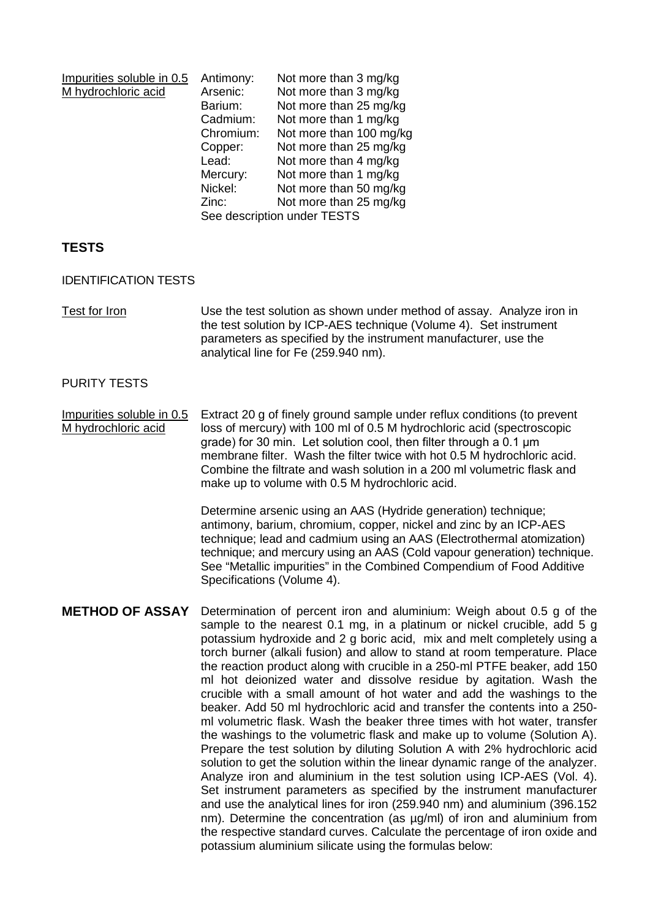| Impurities soluble in 0.5 | Antimony:                   | Not more than 3 mg/kg   |  |
|---------------------------|-----------------------------|-------------------------|--|
| M hydrochloric acid       | Arsenic:                    | Not more than 3 mg/kg   |  |
|                           | Barium:                     | Not more than 25 mg/kg  |  |
|                           | Cadmium:                    | Not more than 1 mg/kg   |  |
|                           | Chromium:                   | Not more than 100 mg/kg |  |
|                           | Copper:                     | Not more than 25 mg/kg  |  |
|                           | Lead:                       | Not more than 4 mg/kg   |  |
|                           | Mercury:                    | Not more than 1 mg/kg   |  |
|                           | Nickel:                     | Not more than 50 mg/kg  |  |
|                           | Zinc:                       | Not more than 25 mg/kg  |  |
|                           | See description under TESTS |                         |  |

## **TESTS**

IDENTIFICATION TESTS

Test for Iron Use the test solution as shown under method of assay. Analyze iron in the test solution by ICP-AES technique (Volume 4). Set instrument parameters as specified by the instrument manufacturer, use the analytical line for Fe (259.940 nm).

## PURITY TESTS

Impurities soluble in 0.5 M hydrochloric acid Extract 20 g of finely ground sample under reflux conditions (to prevent loss of mercury) with 100 ml of 0.5 M hydrochloric acid (spectroscopic grade) for 30 min. Let solution cool, then filter through a 0.1 μm membrane filter. Wash the filter twice with hot 0.5 M hydrochloric acid. Combine the filtrate and wash solution in a 200 ml volumetric flask and make up to volume with 0.5 M hydrochloric acid.

> Determine arsenic using an AAS (Hydride generation) technique; antimony, barium, chromium, copper, nickel and zinc by an ICP-AES technique; lead and cadmium using an AAS (Electrothermal atomization) technique; and mercury using an AAS (Cold vapour generation) technique. See "Metallic impurities" in the Combined Compendium of Food Additive Specifications (Volume 4).

**METHOD OF ASSAY** Determination of percent iron and aluminium: Weigh about 0.5 g of the sample to the nearest 0.1 mg, in a platinum or nickel crucible, add 5 g potassium hydroxide and 2 g boric acid, mix and melt completely using a torch burner (alkali fusion) and allow to stand at room temperature. Place the reaction product along with crucible in a 250-ml PTFE beaker, add 150 ml hot deionized water and dissolve residue by agitation. Wash the crucible with a small amount of hot water and add the washings to the beaker. Add 50 ml hydrochloric acid and transfer the contents into a 250 ml volumetric flask. Wash the beaker three times with hot water, transfer the washings to the volumetric flask and make up to volume (Solution A). Prepare the test solution by diluting Solution A with 2% hydrochloric acid solution to get the solution within the linear dynamic range of the analyzer. Analyze iron and aluminium in the test solution using ICP-AES (Vol. 4). Set instrument parameters as specified by the instrument manufacturer and use the analytical lines for iron (259.940 nm) and aluminium (396.152 nm). Determine the concentration (as  $\mu$ g/ml) of iron and aluminium from the respective standard curves. Calculate the percentage of iron oxide and potassium aluminium silicate using the formulas below: